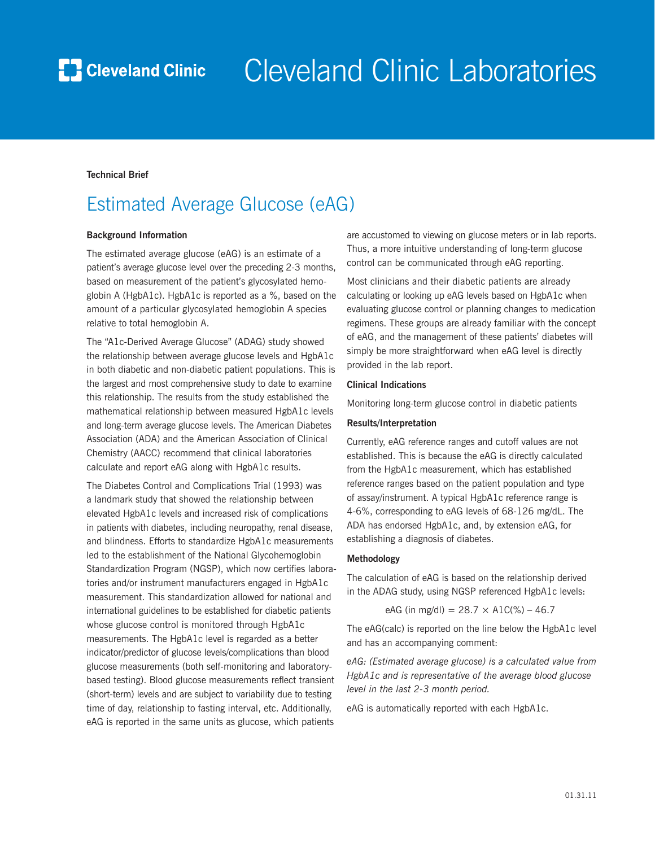

# Cleveland Clinic Laboratories

### **Technical Brief**

### Estimated Average Glucose (eAG)

### **Background Information**

The estimated average glucose (eAG) is an estimate of a patient's average glucose level over the preceding 2-3 months, based on measurement of the patient's glycosylated hemoglobin A (HgbA1c). HgbA1c is reported as a %, based on the amount of a particular glycosylated hemoglobin A species relative to total hemoglobin A.

The "A1c-Derived Average Glucose" (ADAG) study showed the relationship between average glucose levels and HgbA1c in both diabetic and non-diabetic patient populations. This is the largest and most comprehensive study to date to examine this relationship. The results from the study established the mathematical relationship between measured HgbA1c levels and long-term average glucose levels. The American Diabetes Association (ADA) and the American Association of Clinical Chemistry (AACC) recommend that clinical laboratories calculate and report eAG along with HgbA1c results.

The Diabetes Control and Complications Trial (1993) was a landmark study that showed the relationship between elevated HgbA1c levels and increased risk of complications in patients with diabetes, including neuropathy, renal disease, and blindness. Efforts to standardize HgbA1c measurements led to the establishment of the National Glycohemoglobin Standardization Program (NGSP), which now certifies laboratories and/or instrument manufacturers engaged in HgbA1c measurement. This standardization allowed for national and international guidelines to be established for diabetic patients whose glucose control is monitored through HgbA1c measurements. The HgbA1c level is regarded as a better indicator/predictor of glucose levels/complications than blood glucose measurements (both self-monitoring and laboratorybased testing). Blood glucose measurements reflect transient (short-term) levels and are subject to variability due to testing time of day, relationship to fasting interval, etc. Additionally, eAG is reported in the same units as glucose, which patients

are accustomed to viewing on glucose meters or in lab reports. Thus, a more intuitive understanding of long-term glucose control can be communicated through eAG reporting.

Most clinicians and their diabetic patients are already calculating or looking up eAG levels based on HgbA1c when evaluating glucose control or planning changes to medication regimens. These groups are already familiar with the concept of eAG, and the management of these patients' diabetes will simply be more straightforward when eAG level is directly provided in the lab report.

### **Clinical Indications**

Monitoring long-term glucose control in diabetic patients

### **Results/Interpretation**

Currently, eAG reference ranges and cutoff values are not established. This is because the eAG is directly calculated from the HgbA1c measurement, which has established reference ranges based on the patient population and type of assay/instrument. A typical HgbA1c reference range is 4-6%, corresponding to eAG levels of 68-126 mg/dL. The ADA has endorsed HgbA1c, and, by extension eAG, for establishing a diagnosis of diabetes.

### **Methodology**

The calculation of eAG is based on the relationship derived in the ADAG study, using NGSP referenced HgbA1c levels:

eAG (in mg/dl) = 28.7 
$$
\times
$$
 A1C%) – 46.7

The eAG(calc) is reported on the line below the HgbA1c level and has an accompanying comment:

*eAG: (Estimated average glucose) is a calculated value from HgbA1c and is representative of the average blood glucose level in the last 2-3 month period.*

eAG is automatically reported with each HgbA1c.